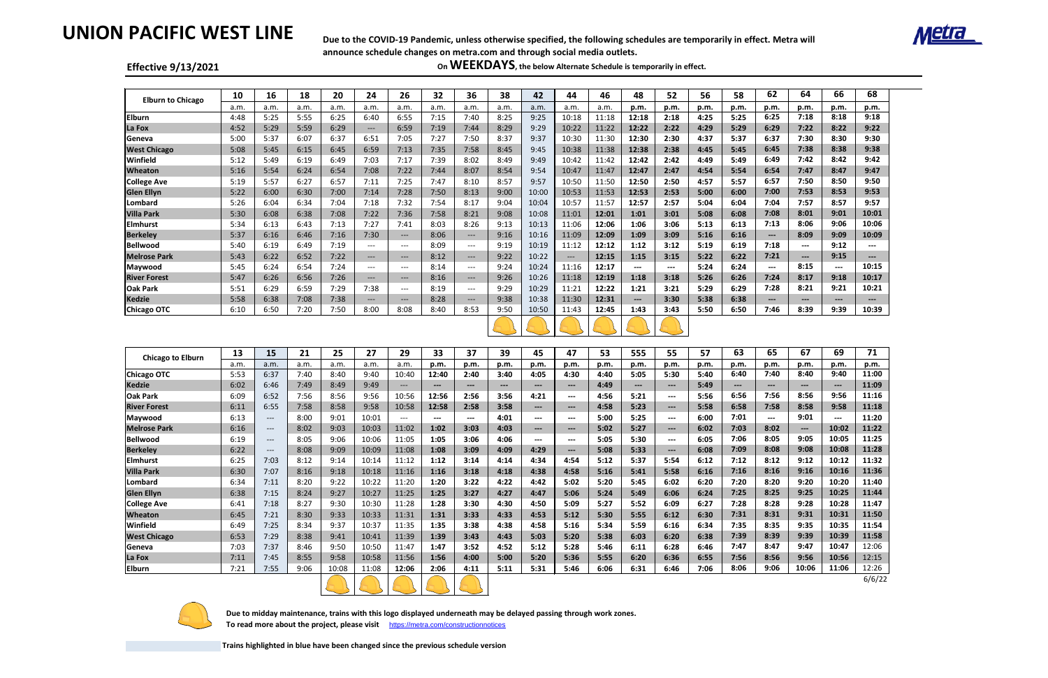# **UNION PACIFIC WEST LINE**

#### **Effective 9/13/2021**

| <b>Elburn to Chicago</b> | 10   | 16   | 18   | 20   | 24                   | 26      | 32   | 36                    | 38   | 42    | 44    | 46    | 48                           | 52                   | 56   | 58   | 62                                                                                                                                                                                                                                                                                                                                                                                                                                                                         | 64       | 66                   | 68                         |
|--------------------------|------|------|------|------|----------------------|---------|------|-----------------------|------|-------|-------|-------|------------------------------|----------------------|------|------|----------------------------------------------------------------------------------------------------------------------------------------------------------------------------------------------------------------------------------------------------------------------------------------------------------------------------------------------------------------------------------------------------------------------------------------------------------------------------|----------|----------------------|----------------------------|
|                          | .a.m | a.m. | a.m. | a.m. | a.m.                 | a.m.    | a.m. | a.m.                  | a.m. | a.m.  | a.m.  | a.m.  | p.m.                         | p.m.                 | p.m. | p.m. | p.m.                                                                                                                                                                                                                                                                                                                                                                                                                                                                       | p.m.     | p.m.                 | p.m.                       |
| <b>Elburn</b>            | 4:48 | 5:25 | 5:55 | 6:25 | 6:40                 | 6:55    | 7:15 | 7:40                  | 8:25 | 9:25  | 10:18 | 11:18 | 12:18                        | 2:18                 | 4:25 | 5:25 | 6:25                                                                                                                                                                                                                                                                                                                                                                                                                                                                       | 7:18     | 8:18                 | 9:18                       |
| La Fox                   | 4:52 | 5:29 | 5:59 | 6:29 | $\hspace{0.05cm}---$ | 6:59    | 7:19 | 7:44                  | 8:29 | 9:29  | 10:22 | 11:22 | 12:22                        | 2:22                 | 4:29 | 5:29 | 6:29                                                                                                                                                                                                                                                                                                                                                                                                                                                                       | 7:22     | 8:22                 | 9:22                       |
| Geneva                   | 5:00 | 5:37 | 6:07 | 6:37 | 6:51                 | 7:05    | 7:27 | 7:50                  | 8:37 | 9:37  | 10:30 | 11:30 | 12:30                        | 2:30                 | 4:37 | 5:37 | 6:37                                                                                                                                                                                                                                                                                                                                                                                                                                                                       | 7:30     | 8:30                 | 9:30                       |
| <b>West Chicago</b>      | 5:08 | 5:45 | 6:15 | 6:45 | 6:59                 | 7:13    | 7:35 | 7:58                  | 8:45 | 9:45  | 10:38 | 11:38 | 12:38                        | 2:38                 | 4:45 | 5:45 | 6:45                                                                                                                                                                                                                                                                                                                                                                                                                                                                       | 7:38     | 8:38                 | 9:38                       |
| Winfield                 | 5:12 | 5:49 | 6:19 | 6:49 | 7:03                 | 7:17    | 7:39 | 8:02                  | 8:49 | 9:49  | 10:42 | 11:42 | 12:42                        | 2:42                 | 4:49 | 5:49 | 6:49                                                                                                                                                                                                                                                                                                                                                                                                                                                                       | 7:42     | 8:42                 | 9:42                       |
| <b>Wheaton</b>           | 5:16 | 5:54 | 6:24 | 6:54 | 7:08                 | 7:22    | 7:44 | 8:07                  | 8:54 | 9:54  | 10:47 | 11:47 | 12:47                        | 2:47                 | 4:54 | 5:54 | 6:54                                                                                                                                                                                                                                                                                                                                                                                                                                                                       | 7:47     | 8:47                 | 9:47                       |
| <b>College Ave</b>       | 5:19 | 5:57 | 6:27 | 6:57 | 7:11                 | 7:25    | 7:47 | 8:10                  | 8:57 | 9:57  | 10:50 | 11:50 | 12:50                        | 2:50                 | 4:57 | 5:57 | 6:57                                                                                                                                                                                                                                                                                                                                                                                                                                                                       | 7:50     | 8:50                 | 9:50                       |
| <b>Glen Ellyn</b>        | 5:22 | 6:00 | 6:30 | 7:00 | 7:14                 | 7:28    | 7:50 | 8:13                  | 9:00 | 10:00 | 10:53 | 11:53 | 12:53                        | 2:53                 | 5:00 | 6:00 | 7:00                                                                                                                                                                                                                                                                                                                                                                                                                                                                       | 7:53     | 8:53                 | 9:53                       |
| Lombard                  | 5:26 | 6:04 | 6:34 | 7:04 | 7:18                 | 7:32    | 7:54 | 8:17                  | 9:04 | 10:04 | 10:57 | 11:57 | 12:57                        | 2:57                 | 5:04 | 6:04 | 7:04                                                                                                                                                                                                                                                                                                                                                                                                                                                                       | 7:57     | 8:57                 | 9:57                       |
| Villa Park               | 5:30 | 6:08 | 6:38 | 7:08 | 7:22                 | 7:36    | 7:58 | 8:21                  | 9:08 | 10:08 | 11:01 | 12:01 | 1:01                         | 3:01                 | 5:08 | 6:08 | 7:08                                                                                                                                                                                                                                                                                                                                                                                                                                                                       | 8:01     | 9:01                 | 10:01                      |
| <b>Elmhurst</b>          | 5:34 | 6:13 | 6:43 | 7:13 | 7:27                 | 7:41    | 8:03 | 8:26                  | 9:13 | 10:13 | 11:06 | 12:06 | 1:06                         | 3:06                 | 5:13 | 6:13 | 7:13                                                                                                                                                                                                                                                                                                                                                                                                                                                                       | 8:06     | 9:06                 | 10:06                      |
| <b>Berkeley</b>          | 5:37 | 6:16 | 6:46 | 7:16 | 7:30                 | $---$   | 8:06 | $--$                  | 9:16 | 10:16 | 11:09 | 12:09 | 1:09                         | 3:09                 | 5:16 | 6:16 | $\qquad \qquad - -$                                                                                                                                                                                                                                                                                                                                                                                                                                                        | 8:09     | 9:09                 | 10:09                      |
| <b>Bellwood</b>          | 5:40 | 6:19 | 6:49 | 7:19 | $---$                | $- - -$ | 8:09 | $---$                 | 9:19 | 10:19 | 11:12 | 12:12 | 1:12                         | 3:12                 | 5:19 | 6:19 | 7:18                                                                                                                                                                                                                                                                                                                                                                                                                                                                       | $\cdots$ | 9:12                 | $\qquad \qquad \cdots$     |
| <b>Melrose Park</b>      | 5:43 | 6:22 | 6:52 | 7:22 | $\qquad \qquad - -$  | $---$   | 8:12 | $---$                 | 9:22 | 10:22 | $---$ | 12:15 | 1:15                         | 3:15                 | 5:22 | 6:22 | 7:21                                                                                                                                                                                                                                                                                                                                                                                                                                                                       | $---$    | 9:15                 | $\qquad \qquad \text{---}$ |
| Maywood                  | 5:45 | 6:24 | 6:54 | 7:24 | $---$                | $- - -$ | 8:14 | $---$                 | 9:24 | 10:24 | 11:16 | 12:17 | $\qquad \qquad \cdots$       | $\sim$ $\sim$ $\sim$ | 5:24 | 6:24 | $\frac{1}{2} \left( \frac{1}{2} \right) \left( \frac{1}{2} \right) \left( \frac{1}{2} \right) \left( \frac{1}{2} \right) \left( \frac{1}{2} \right) \left( \frac{1}{2} \right) \left( \frac{1}{2} \right) \left( \frac{1}{2} \right) \left( \frac{1}{2} \right) \left( \frac{1}{2} \right) \left( \frac{1}{2} \right) \left( \frac{1}{2} \right) \left( \frac{1}{2} \right) \left( \frac{1}{2} \right) \left( \frac{1}{2} \right) \left( \frac{1}{2} \right) \left( \frac$ | 8:15     | $\sim$ $\sim$ $\sim$ | 10:15                      |
| <b>River Forest</b>      | 5:47 | 6:26 | 6:56 | 7:26 | $---$                | $---$   | 8:16 | $---$                 | 9:26 | 10:26 | 11:18 | 12:19 | 1:18                         | 3:18                 | 5:26 | 6:26 | 7:24                                                                                                                                                                                                                                                                                                                                                                                                                                                                       | 8:17     | 9:18                 | 10:17                      |
| <b>Oak Park</b>          | 5:51 | 6:29 | 6:59 | 7:29 | 7:38                 | $---$   | 8:19 | $---$                 | 9:29 | 10:29 | 11:21 | 12:22 | 1:21                         | 3:21                 | 5:29 | 6:29 | 7:28                                                                                                                                                                                                                                                                                                                                                                                                                                                                       | 8:21     | 9:21                 | 10:21                      |
| Kedzie                   | 5:58 | 6:38 | 7:08 | 7:38 | $---$                | $---$   | 8:28 | $\qquad \qquad - - -$ | 9:38 | 10:38 | 11:30 | 12:31 | $\qquad \qquad \textbf{---}$ | 3:30                 | 5:38 | 6:38 | $\qquad \qquad - -$                                                                                                                                                                                                                                                                                                                                                                                                                                                        | ---      | $\qquad \qquad - -$  | ---                        |
| <b>Chicago OTC</b>       | 6:10 | 6:50 | 7:20 | 7:50 | 8:00                 | 8:08    | 8:40 | 8:53                  | 9:50 | 10:50 | 11:43 | 12:45 | 1:43                         | 3:43                 | 5:50 | 6:50 | 7:46                                                                                                                                                                                                                                                                                                                                                                                                                                                                       | 8:39     | 9:39                 | 10:39                      |
|                          |      |      |      |      |                      |         |      |                       |      |       |       |       |                              |                      |      |      |                                                                                                                                                                                                                                                                                                                                                                                                                                                                            |          |                      |                            |

 **Due to midday maintenance, trains with this logo displayed underneath may be delayed passing through work zones.**  To read more about the project, please visit <https://metra.com/constructionnotices>

 $\mathcal{X}$  is  $\mathcal{Y}$  is  $\mathcal{Y}$  is

| <b>Chicago to Elburn</b> | 13   | 15                  | 21   | 25    | 27    | 29    | 33    | 37                  | 39    | 45                     | 47                                                                                                                                                                                                                                                                                                                                                                                           | 53   | 555                    | 55                     | 57   | 63    | 65    | 67    | 69    | 71     |
|--------------------------|------|---------------------|------|-------|-------|-------|-------|---------------------|-------|------------------------|----------------------------------------------------------------------------------------------------------------------------------------------------------------------------------------------------------------------------------------------------------------------------------------------------------------------------------------------------------------------------------------------|------|------------------------|------------------------|------|-------|-------|-------|-------|--------|
|                          | a.m. | a.m.                | a.m. | a.m.  | a.m.  | a.m.  | p.m.  | p.m.                | p.m.  | p.m.                   | p.m.                                                                                                                                                                                                                                                                                                                                                                                         | p.m. | p.m.                   | p.m.                   | p.m. | p.m.  | p.m.  | p.m.  | p.m.  | p.m.   |
| <b>Chicago OTC</b>       | 5:53 | 6:37                | 7:40 | 8:40  | 9:40  | 10:40 | 12:40 | 2:40                | 3:40  | 4:05                   | 4:30                                                                                                                                                                                                                                                                                                                                                                                         | 4:40 | 5:05                   | 5:30                   | 5:40 | 6:40  | 7:40  | 8:40  | 9:40  | 11:00  |
| <b>Kedzie</b>            | 6:02 | 6:46                | 7:49 | 8:49  | 9:49  | $---$ | ---   | $\qquad \qquad - -$ | $---$ | $\qquad \qquad \cdots$ | $\qquad \qquad - -$                                                                                                                                                                                                                                                                                                                                                                          | 4:49 | $\qquad \qquad \cdots$ | $\qquad \qquad \cdots$ | 5:49 | $---$ | $---$ | ---   | $---$ | 11:09  |
| <b>Oak Park</b>          | 6:09 | 6:52                | 7:56 | 8:56  | 9:56  | 10:56 | 12:56 | 2:56                | 3:56  | 4:21                   | $\qquad \qquad \cdots$                                                                                                                                                                                                                                                                                                                                                                       | 4:56 | 5:21                   | $\sim$ $\sim$          | 5:56 | 6:56  | 7:56  | 8:56  | 9:56  | 11:16  |
| <b>River Forest</b>      | 6:11 | 6:55                | 7:58 | 8:58  | 9:58  | 10:58 | 12:58 | 2:58                | 3:58  | $---$                  | $\qquad \qquad \cdots$                                                                                                                                                                                                                                                                                                                                                                       | 4:58 | 5:23                   | $---$                  | 5:58 | 6:58  | 7:58  | 8:58  | 9:58  | 11:18  |
| Maywood                  | 6:13 | $---$               | 8:00 | 9:01  | 10:01 | $---$ | ---   | ---                 | 4:01  | $\qquad \qquad \cdots$ | $---$                                                                                                                                                                                                                                                                                                                                                                                        | 5:00 | 5:25                   | $\sim$ $\sim$          | 6:00 | 7:01  | ---   | 9:01  | ---   | 11:20  |
| <b>Melrose Park</b>      | 6:16 | $\qquad \qquad - -$ | 8:02 | 9:03  | 10:03 | 11:02 | 1:02  | 3:03                | 4:03  | $\qquad \qquad \cdots$ | $---$                                                                                                                                                                                                                                                                                                                                                                                        | 5:02 | 5:27                   | $\qquad \qquad - -$    | 6:02 | 7:03  | 8:02  | $--$  | 10:02 | 11:22  |
| <b>Bellwood</b>          | 6:19 | $---$               | 8:05 | 9:06  | 10:06 | 11:05 | 1:05  | 3:06                | 4:06  | $\qquad \qquad \cdots$ | $\frac{1}{2} \frac{1}{2} \frac{1}{2} \frac{1}{2} \frac{1}{2} \frac{1}{2} \frac{1}{2} \frac{1}{2} \frac{1}{2} \frac{1}{2} \frac{1}{2} \frac{1}{2} \frac{1}{2} \frac{1}{2} \frac{1}{2} \frac{1}{2} \frac{1}{2} \frac{1}{2} \frac{1}{2} \frac{1}{2} \frac{1}{2} \frac{1}{2} \frac{1}{2} \frac{1}{2} \frac{1}{2} \frac{1}{2} \frac{1}{2} \frac{1}{2} \frac{1}{2} \frac{1}{2} \frac{1}{2} \frac{$ | 5:05 | 5:30                   | $\qquad \qquad \cdots$ | 6:05 | 7:06  | 8:05  | 9:05  | 10:05 | 11:25  |
| <b>Berkeley</b>          | 6:22 | $---$               | 8:08 | 9:09  | 10:09 | 11:08 | 1:08  | 3:09                | 4:09  | 4:29                   | $\qquad \qquad \cdots$                                                                                                                                                                                                                                                                                                                                                                       | 5:08 | 5:33                   | $---$                  | 6:08 | 7:09  | 8:08  | 9:08  | 10:08 | 11:28  |
| <b>Elmhurst</b>          | 6:25 | 7:03                | 8:12 | 9:14  | 10:14 | 11:12 | 1:12  | 3:14                | 4:14  | 4:34                   | 4:54                                                                                                                                                                                                                                                                                                                                                                                         | 5:12 | 5:37                   | 5:54                   | 6:12 | 7:12  | 8:12  | 9:12  | 10:12 | 11:32  |
| <b>Villa Park</b>        | 6:30 | 7:07                | 8:16 | 9:18  | 10:18 | 11:16 | 1:16  | 3:18                | 4:18  | 4:38                   | 4:58                                                                                                                                                                                                                                                                                                                                                                                         | 5:16 | 5:41                   | 5:58                   | 6:16 | 7:16  | 8:16  | 9:16  | 10:16 | 11:36  |
| Lombard                  | 6:34 | 7:11                | 8:20 | 9:22  | 10:22 | 11:20 | 1:20  | 3:22                | 4:22  | 4:42                   | 5:02                                                                                                                                                                                                                                                                                                                                                                                         | 5:20 | 5:45                   | 6:02                   | 6:20 | 7:20  | 8:20  | 9:20  | 10:20 | 11:40  |
| <b>Glen Ellyn</b>        | 6:38 | 7:15                | 8:24 | 9:27  | 10:27 | 11:25 | 1:25  | 3:27                | 4:27  | 4:47                   | 5:06                                                                                                                                                                                                                                                                                                                                                                                         | 5:24 | 5:49                   | 6:06                   | 6:24 | 7:25  | 8:25  | 9:25  | 10:25 | 11:44  |
| <b>College Ave</b>       | 6:41 | 7:18                | 8:27 | 9:30  | 10:30 | 11:28 | 1:28  | 3:30                | 4:30  | 4:50                   | 5:09                                                                                                                                                                                                                                                                                                                                                                                         | 5:27 | 5:52                   | 6:09                   | 6:27 | 7:28  | 8:28  | 9:28  | 10:28 | 11:47  |
| <b>Wheaton</b>           | 6:45 | 7:21                | 8:30 | 9:33  | 10:33 | 11:31 | 1:31  | 3:33                | 4:33  | 4:53                   | 5:12                                                                                                                                                                                                                                                                                                                                                                                         | 5:30 | 5:55                   | 6:12                   | 6:30 | 7:31  | 8:31  | 9:31  | 10:31 | 11:50  |
| Winfield                 | 6:49 | 7:25                | 8:34 | 9:37  | 10:37 | 11:35 | 1:35  | 3:38                | 4:38  | 4:58                   | 5:16                                                                                                                                                                                                                                                                                                                                                                                         | 5:34 | 5:59                   | 6:16                   | 6:34 | 7:35  | 8:35  | 9:35  | 10:35 | 11:54  |
| <b>West Chicago</b>      | 6:53 | 7:29                | 8:38 | 9:41  | 10:41 | 11:39 | 1:39  | 3:43                | 4:43  | 5:03                   | 5:20                                                                                                                                                                                                                                                                                                                                                                                         | 5:38 | 6:03                   | 6:20                   | 6:38 | 7:39  | 8:39  | 9:39  | 10:39 | 11:58  |
| Geneva                   | 7:03 | 7:37                | 8:46 | 9:50  | 10:50 | 11:47 | 1:47  | 3:52                | 4:52  | 5:12                   | 5:28                                                                                                                                                                                                                                                                                                                                                                                         | 5:46 | 6:11                   | 6:28                   | 6:46 | 7:47  | 8:47  | 9:47  | 10:47 | 12:06  |
| La Fox                   | 7:11 | 7:45                | 8:55 | 9:58  | 10:58 | 11:56 | 1:56  | 4:00                | 5:00  | 5:20                   | 5:36                                                                                                                                                                                                                                                                                                                                                                                         | 5:55 | 6:20                   | 6:36                   | 6:55 | 7:56  | 8:56  | 9:56  | 10:56 | 12:15  |
| <b>Elburn</b>            | 7:21 | 7:55                | 9:06 | 10:08 | 11:08 | 12:06 | 2:06  | 4:11                | 5:11  | 5:31                   | 5:46                                                                                                                                                                                                                                                                                                                                                                                         | 6:06 | 6:31                   | 6:46                   | 7:06 | 8:06  | 9:06  | 10:06 | 11:06 | 12:26  |
|                          |      |                     |      |       |       |       |       |                     |       |                        |                                                                                                                                                                                                                                                                                                                                                                                              |      |                        |                        |      |       |       |       |       | 6/6/22 |



6/6/22

**Trains highlighted in blue have been changed since the previous schedule version**





**Due to the COVID-19 Pandemic, unless otherwise specified, the following schedules are temporarily in effect. Metra will announce schedule changes on metra.com and through social media outlets.**

**On WEEKDAYS, the below Alternate Schedule is temporarily in effect.**